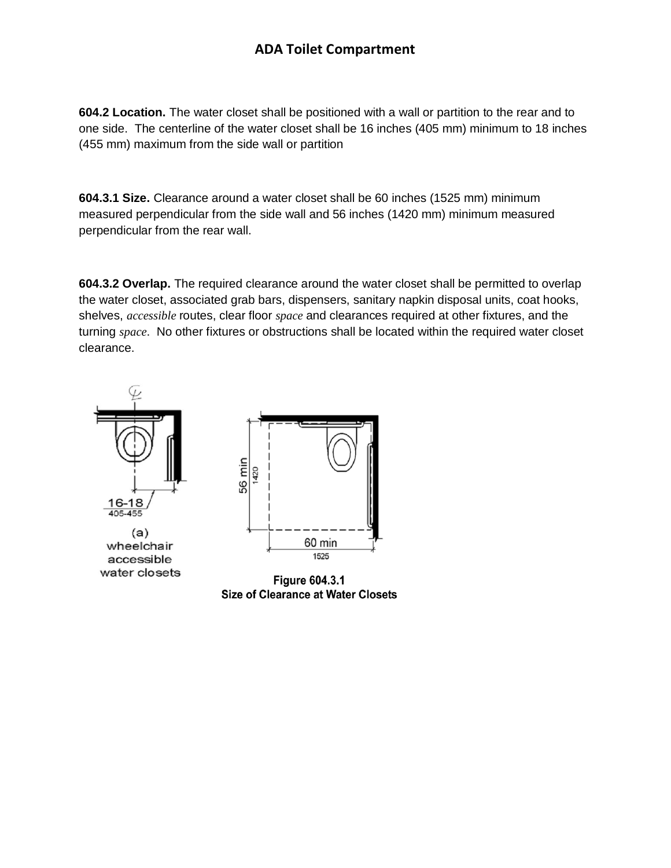## **ADA Toilet Compartment**

**604.2 Location.** The water closet shall be positioned with a wall or partition to the rear and to one side. The centerline of the water closet shall be 16 inches (405 mm) minimum to 18 inches (455 mm) maximum from the side wall or partition

**604.3.1 Size.** Clearance around a water closet shall be 60 inches (1525 mm) minimum measured perpendicular from the side wall and 56 inches (1420 mm) minimum measured perpendicular from the rear wall.

**604.3.2 Overlap.** The required clearance around the water closet shall be permitted to overlap the water closet, associated grab bars, dispensers, sanitary napkin disposal units, coat hooks, shelves, *accessible* routes, clear floor *space* and clearances required at other fixtures, and the turning *space*. No other fixtures or obstructions shall be located within the required water closet clearance.



**Size of Clearance at Water Closets**